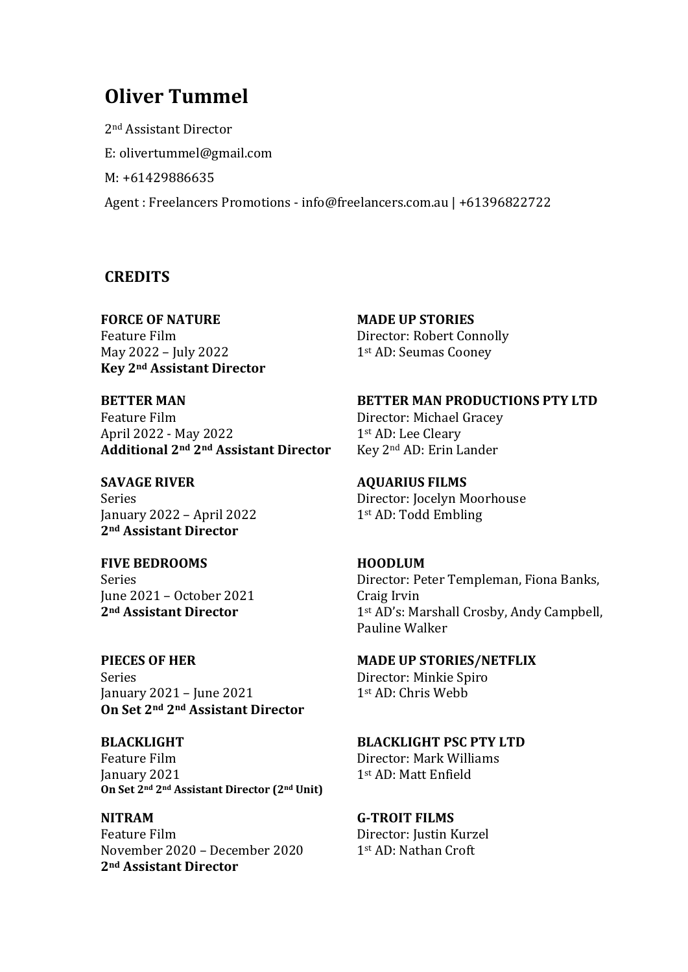# **Oliver Tummel**

2<sup>nd</sup> Assistant Director E: olivertummel@gmail.com M: +61429886635 Agent : Freelancers Promotions - info@freelancers.com.au | +61396822722

# **CREDITS**

**FORCE OF NATURE** Feature Film May 2022 – July 2022 **Key 2nd Assistant Director**

**BETTER MAN** Feature Film April 2022 - May 2022 **Additional 2nd 2nd Assistant Director**

**SAVAGE RIVER** Series January  $2022 -$  April  $2022$ **2nd Assistant Director**

**FIVE BEDROOMS** Series June 2021 - October 2021 **2nd Assistant Director**

**PIECES OF HER** Series January  $2021 -$  June  $2021$ **On Set 2nd 2nd Assistant Director** 

**BLACKLIGHT** Feature Film January 2021 **On Set 2nd 2nd Assistant Director (2nd Unit)**

**NITRAM** Feature Film November 2020 - December 2020 **2nd Assistant Director**

**MADE UP STORIES** Director: Robert Connolly 1st AD: Seumas Cooney

**BETTER MAN PRODUCTIONS PTY LTD** Director: Michael Gracey 1st AD: Lee Cleary Key 2nd AD: Erin Lander

**AQUARIUS FILMS** Director: Jocelyn Moorhouse 1st AD: Todd Embling

**HOODLUM** Director: Peter Templeman, Fiona Banks, Craig Irvin 1<sup>st</sup> AD's: Marshall Crosby, Andy Campbell, Pauline Walker

**MADE UP STORIES/NETFLIX** Director: Minkie Spiro 1<sup>st</sup> AD: Chris Webb

**BLACKLIGHT PSC PTY LTD** Director: Mark Williams 1st AD: Matt Enfield

**G-TROIT FILMS** Director: Justin Kurzel 1st AD: Nathan Croft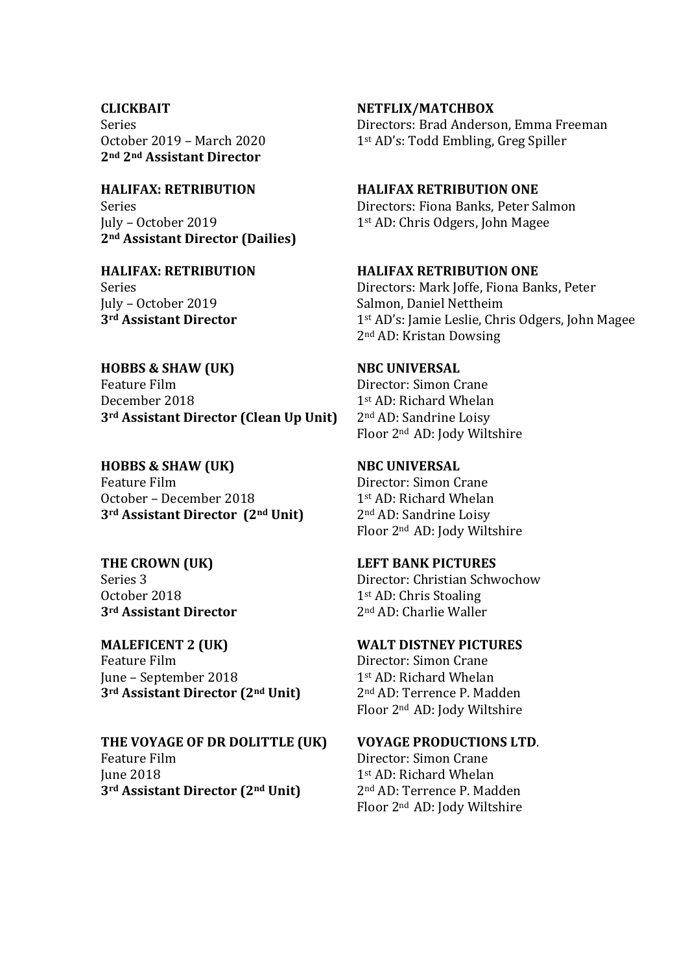#### **CLICKBAIT**

Series October 2019 - March 2020 **2nd 2nd Assistant Director**

**HALIFAX: RETRIBUTION** Series July – October 2019 **2nd Assistant Director (Dailies)**

**HALIFAX: RETRIBUTION** Series July – October 2019 **3rd Assistant Director**

#### **HOBBS & SHAW (UK)** Feature Film

December 2018 **3rd Assistant Director (Clean Up Unit)**

**HOBBS & SHAW (UK)** 

Feature Film October – December 2018 3<sup>rd</sup> **Assistant Director** (2<sup>nd</sup> Unit)

**THE CROWN (UK)** Series 3 October 2018 **3rd Assistant Director**

# **MALEFICENT 2 (UK)**

Feature Film June – September 2018 **3rd Assistant Director (2nd Unit)**

## THE VOYAGE OF DR DOLITTLE (UK)

Feature Film June 2018 **3rd Assistant Director (2nd Unit)**

## **NETFLIX/MATCHBOX**

Directors: Brad Anderson, Emma Freeman 1<sup>st</sup> AD's: Todd Embling, Greg Spiller

#### **HALIFAX RETRIBUTION ONE**

Directors: Fiona Banks, Peter Salmon 1<sup>st</sup> AD: Chris Odgers, John Magee

#### **HALIFAX RETRIBUTION ONE**

Directors: Mark Joffe, Fiona Banks, Peter Salmon, Daniel Nettheim 1<sup>st</sup> AD's: Jamie Leslie, Chris Odgers, John Magee 2<sup>nd</sup> AD: Kristan Dowsing

## **NBC UNIVERSAL**

Director: Simon Crane 1st AD: Richard Whelan 2<sup>nd</sup> AD: Sandrine Loisy Floor 2<sup>nd</sup> AD: Jody Wiltshire

**NBC UNIVERSAL** Director: Simon Crane 1st AD: Richard Whelan 2<sup>nd</sup> AD: Sandrine Loisy Floor 2<sup>nd</sup> AD: Jody Wiltshire

# **LEFT BANK PICTURES**

Director: Christian Schwochow 1<sup>st</sup> AD: Chris Stoaling 2<sup>nd</sup> AD: Charlie Waller

**WALT DISTNEY PICTURES**

Director: Simon Crane 1st AD: Richard Whelan 2<sup>nd</sup> AD: Terrence P. Madden Floor 2<sup>nd</sup> AD: Jody Wiltshire

# **VOYAGE PRODUCTIONS LTD**.

Director: Simon Crane 1st AD: Richard Whelan 2<sup>nd</sup> AD: Terrence P. Madden Floor 2<sup>nd</sup> AD: Jody Wiltshire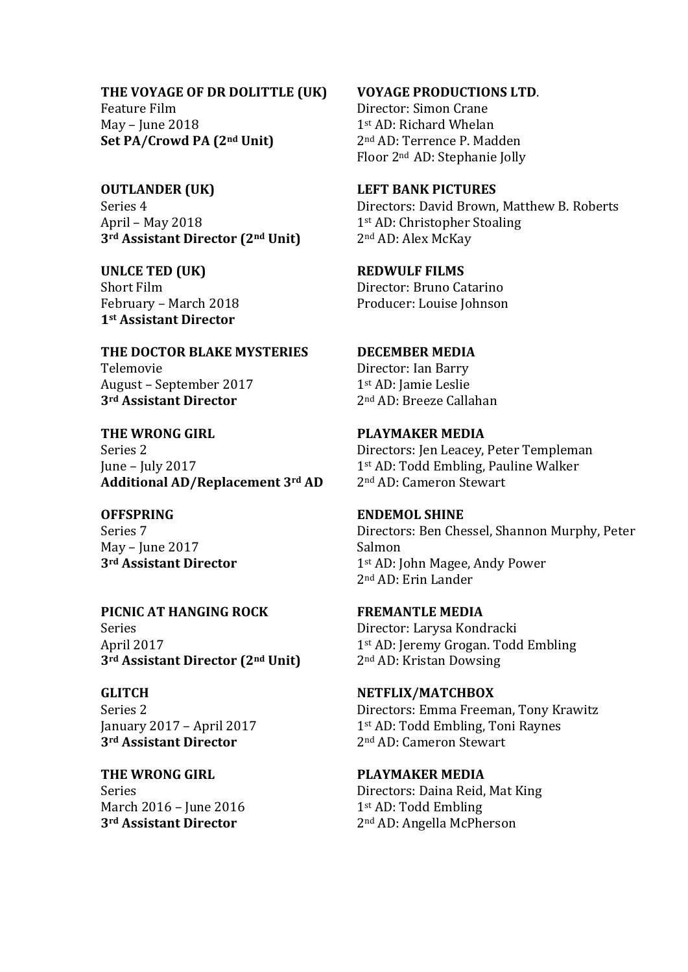**THE VOYAGE OF DR DOLITTLE (UK)**

Feature Film May – June  $2018$ **Set PA/Crowd PA (2nd Unit)**

**OUTLANDER (UK)** Series 4 April - May 2018 **3rd Assistant Director (2nd Unit)**

**UNLCE TED (UK)** Short Film February - March 2018 **1st Assistant Director**

**THE DOCTOR BLAKE MYSTERIES** Telemovie August – September 2017 **3rd Assistant Director**

**THE WRONG GIRL** Series 2 June – July  $2017$ **Additional AD/Replacement 3rd AD**

**OFFSPRING** Series 7 May – June  $2017$ **3rd Assistant Director**

**PICNIC AT HANGING ROCK** Series April 2017 **3rd Assistant Director (2nd Unit)**

**GLITCH** Series 2 January 2017 - April 2017 **3rd Assistant Director**

**THE WRONG GIRL** Series March 2016 - June 2016 **3rd Assistant Director**

**VOYAGE PRODUCTIONS LTD**.

Director: Simon Crane 1st AD: Richard Whelan 2<sup>nd</sup> AD: Terrence P. Madden Floor 2<sup>nd</sup> AD: Stephanie Jolly

## **LEFT BANK PICTURES**

Directors: David Brown, Matthew B. Roberts 1<sup>st</sup> AD: Christopher Stoaling 2<sup>nd</sup> AD: Alex McKay

**REDWULF FILMS**

Director: Bruno Catarino Producer: Louise Johnson

## **DECEMBER MEDIA**

Director: Ian Barry 1st AD: Jamie Leslie 2<sup>nd</sup> AD: Breeze Callahan

#### **PLAYMAKER MEDIA**

Directors: Jen Leacey, Peter Templeman 1st AD: Todd Embling, Pauline Walker 2<sup>nd</sup> AD: Cameron Stewart

#### **ENDEMOL SHINE**

Directors: Ben Chessel, Shannon Murphy, Peter Salmon 1st AD: John Magee, Andy Power 2<sup>nd</sup> AD: Erin Lander

**FREMANTLE MEDIA** 

Director: Larysa Kondracki 1<sup>st</sup> AD: Jeremy Grogan. Todd Embling 2<sup>nd</sup> AD: Kristan Dowsing

**NETFLIX/MATCHBOX**

Directors: Emma Freeman, Tony Krawitz 1<sup>st</sup> AD: Todd Embling, Toni Raynes 2<sup>nd</sup> AD: Cameron Stewart

**PLAYMAKER MEDIA** Directors: Daina Reid, Mat King  $1<sup>st</sup>$  AD: Todd Embling 2<sup>nd</sup> AD: Angella McPherson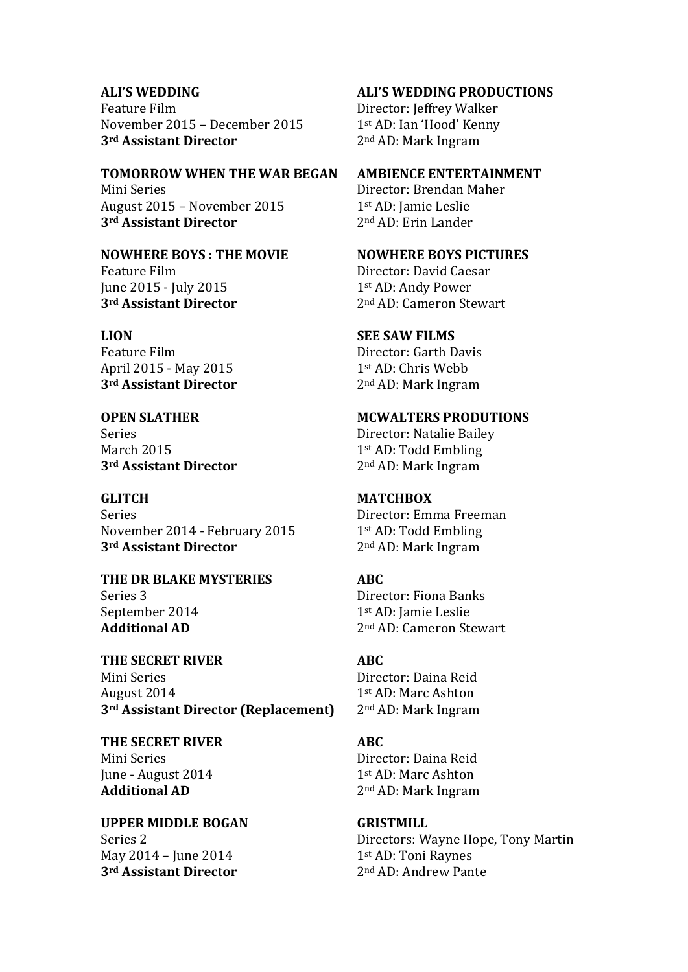## **ALI'S WEDDING**

Feature Film November 2015 - December 2015 **3rd Assistant Director**

# **TOMORROW WHEN THE WAR BEGAN**

Mini Series August 2015 - November 2015 **3rd Assistant Director**

#### **NOWHERE BOYS: THE MOVIE**

Feature Film June 2015 - July 2015 **3rd Assistant Director**

## **LION**

Feature Film April 2015 - May 2015 **3rd Assistant Director**

## **OPEN SLATHER**

Series March 2015 **3rd Assistant Director**

## **GLITCH**

Series November 2014 - February 2015 **3rd Assistant Director**

## **THE DR BLAKE MYSTERIES**

Series 3 September 2014 **Additional AD**

#### **THE SECRET RIVER**

Mini Series August 2014 **3rd Assistant Director (Replacement)**

# **THE SECRET RIVER**

Mini Series June - August 2014 **Additional AD** 

# **UPPER MIDDLE BOGAN**

Series 2 May 2014 - June 2014 **3rd Assistant Director**

#### **ALI'S WEDDING PRODUCTIONS**

Director: Jeffrey Walker 1st AD: Ian 'Hood' Kenny 2<sup>nd</sup> AD: Mark Ingram

## **AMBIENCE ENTERTAINMENT**

Director: Brendan Maher 1st AD: Jamie Leslie 2<sup>nd</sup> AD: Erin Lander

## **NOWHERE BOYS PICTURES**

Director: David Caesar 1st AD: Andy Power 2<sup>nd</sup> AD: Cameron Stewart

# **SEE SAW FILMS**

Director: Garth Davis 1<sup>st</sup> AD: Chris Webb 2<sup>nd</sup> AD: Mark Ingram

## **MCWALTERS PRODUTIONS**

Director: Natalie Bailey 1<sup>st</sup> AD: Todd Embling 2<sup>nd</sup> AD: Mark Ingram

## **MATCHBOX**

Director: Emma Freeman 1st AD: Todd Embling 2<sup>nd</sup> AD: Mark Ingram

## **ABC**

Director: Fiona Banks 1st AD: Jamie Leslie 2<sup>nd</sup> AD: Cameron Stewart

## **ABC**

Director: Daina Reid 1st AD: Marc Ashton 2<sup>nd</sup> AD: Mark Ingram

# **ABC**

Director: Daina Reid 1st AD: Marc Ashton 2<sup>nd</sup> AD: Mark Ingram

## **GRISTMILL**

Directors: Wayne Hope, Tony Martin 1st AD: Toni Raynes 2<sup>nd</sup> AD: Andrew Pante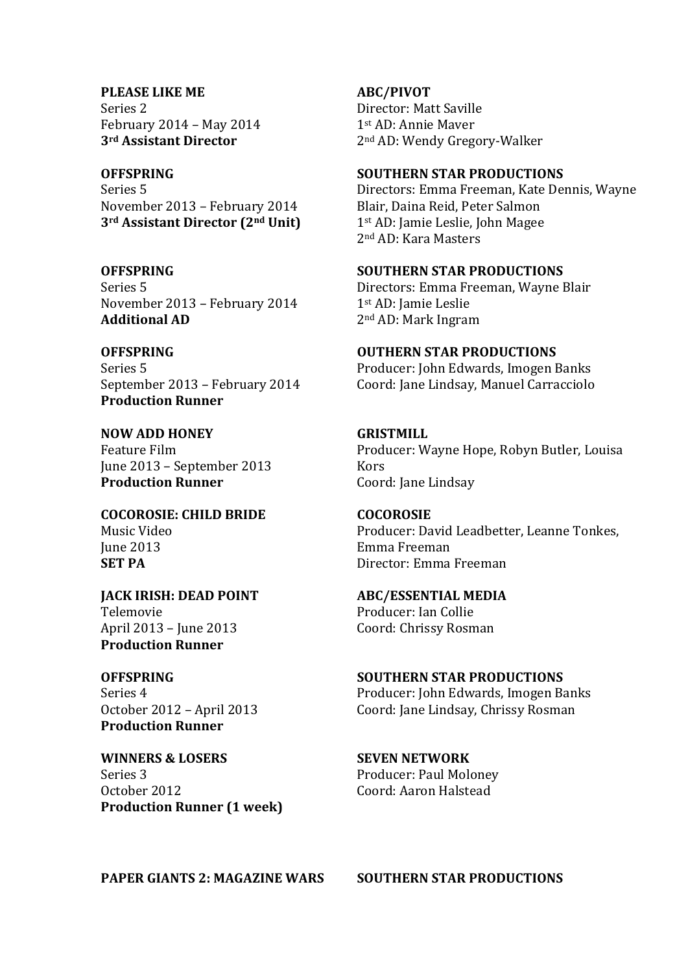#### **PLEASE LIKE ME**

Series 2 February  $2014$  – May  $2014$ **3rd Assistant Director**

## **OFFSPRING**

Series 5 November 2013 - February 2014 **3rd Assistant Director (2nd Unit)**

#### **OFFSPRING**

Series 5 November 2013 - February 2014 **Additional AD** 

## **OFFSPRING**

Series 5 September 2013 - February 2014 **Production Runner**

### **NOW ADD HONEY**

Feature Film June 2013 - September 2013 **Production Runner**

**COCOROSIE: CHILD BRIDE** Music Video June 2013 **SET PA** 

## **JACK IRISH: DEAD POINT** Telemovie April 2013 - June 2013

**Production Runner**

# **OFFSPRING**

Series 4 October 2012 - April 2013 **Production Runner**

## **WINNERS & LOSERS** Series 3 October 2012

**Production Runner (1 week)** 

## **ABC/PIVOT**

Director: Matt Saville 1st AD: Annie Maver 2<sup>nd</sup> AD: Wendy Gregory-Walker

## **SOUTHERN STAR PRODUCTIONS**

Directors: Emma Freeman, Kate Dennis, Wayne Blair, Daina Reid, Peter Salmon 1<sup>st</sup> AD: Jamie Leslie, John Magee 2<sup>nd</sup> AD: Kara Masters

#### **SOUTHERN STAR PRODUCTIONS**

Directors: Emma Freeman, Wayne Blair 1st AD: Jamie Leslie 2<sup>nd</sup> AD: Mark Ingram

#### **OUTHERN STAR PRODUCTIONS**

Producer: John Edwards, Imogen Banks Coord: Jane Lindsay, Manuel Carracciolo

#### **GRISTMILL**

Producer: Wayne Hope, Robyn Butler, Louisa Kors Coord: Jane Lindsay

#### **COCOROSIE**

Producer: David Leadbetter, Leanne Tonkes, Emma Freeman Director: Emma Freeman

#### **ABC/ESSENTIAL MEDIA**

Producer: Ian Collie Coord: Chrissy Rosman

#### **SOUTHERN STAR PRODUCTIONS**

Producer: John Edwards, Imogen Banks Coord: Jane Lindsay, Chrissy Rosman

#### **SEVEN NETWORK**

Producer: Paul Moloney Coord: Aaron Halstead

**PAPER GIANTS 2: MAGAZINE WARS SOUTHERN STAR PRODUCTIONS**